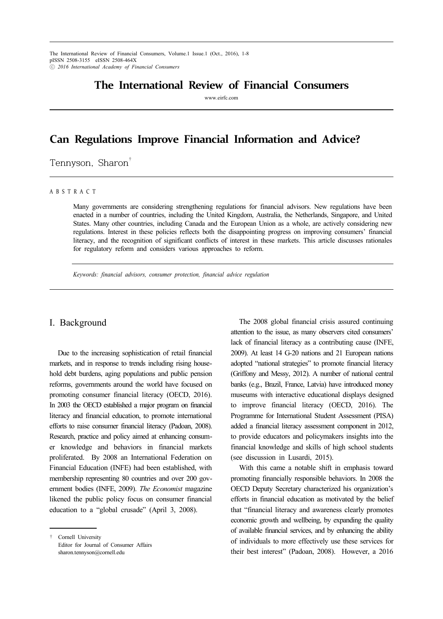The International Review of Financial Consumers, Volume.1 Issue.1 (Oct., 2016), 1-8 pISSN 2508-3155 eISSN 2508-464X ⓒ *2016 International Academy of Financial Consumers*

# **The International Review of Financial Consumers**

www.eirfc.com

# **Can Regulations Improve Financial Information and Advice?**

Tennyson, Sharon<sup>†</sup>

#### A B S T R A C T

Many governments are considering strengthening regulations for financial advisors. New regulations have been enacted in a number of countries, including the United Kingdom, Australia, the Netherlands, Singapore, and United States. Many other countries, including Canada and the European Union as a whole, are actively considering new regulations. Interest in these policies reflects both the disappointing progress on improving consumers' financial literacy, and the recognition of significant conflicts of interest in these markets. This article discusses rationales for regulatory reform and considers various approaches to reform.

*Keywords: financial advisors, consumer protection, financial advice regulation*

#### I. Background

Due to the increasing sophistication of retail financial markets, and in response to trends including rising household debt burdens, aging populations and public pension reforms, governments around the world have focused on promoting consumer financial literacy (OECD, 2016). In 2003 the OECD established a major program on financial literacy and financial education, to promote international efforts to raise consumer financial literacy (Padoan, 2008). Research, practice and policy aimed at enhancing consumer knowledge and behaviors in financial markets proliferated. By 2008 an International Federation on Financial Education (INFE) had been established, with membership representing 80 countries and over 200 government bodies (INFE, 2009). *The Economist* magazine likened the public policy focus on consumer financial education to a "global crusade" (April 3, 2008).

The 2008 global financial crisis assured continuing attention to the issue, as many observers cited consumers' lack of financial literacy as a contributing cause (INFE, 2009). At least 14 G-20 nations and 21 European nations adopted "national strategies" to promote financial literacy (Griffony and Messy, 2012). A number of national central banks (e.g., Brazil, France, Latvia) have introduced money museums with interactive educational displays designed to improve financial literacy (OECD, 2016). The Programme for International Student Assessment (PISA) added a financial literacy assessment component in 2012, to provide educators and policymakers insights into the financial knowledge and skills of high school students (see discussion in Lusardi, 2015).

With this came a notable shift in emphasis toward promoting financially responsible behaviors. In 2008 the OECD Deputy Secretary characterized his organization's efforts in financial education as motivated by the belief that "financial literacy and awareness clearly promotes economic growth and wellbeing, by expanding the quality of available financial services, and by enhancing the ability of individuals to more effectively use these services for their best interest" (Padoan, 2008). However, a 2016

<sup>†</sup> Cornell University Editor for Journal of Consumer Affairs sharon.tennyson@cornell.edu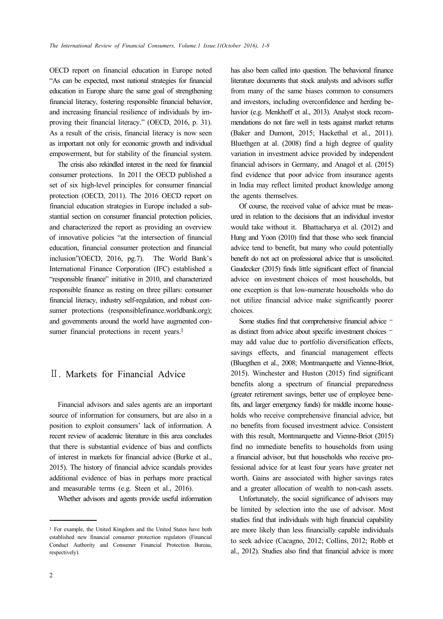OECD report on financial education in Europe noted "As can be expected, most national strategies for financial education in Europe share the same goal of strengthening financial literacy, fostering responsible financial behavior, and increasing financial resilience of individuals by improving their financial literacy." (OECD, 2016, p. 31). As a result of the crisis, financial literacy is now seen as important not only for economic growth and individual empowerment, but for stability of the financial system.

The crisis also rekindled interest in the need for financial consumer protections. In 2011 the OECD published a set of six high-level principles for consumer financial protection (OECD, 2011). The 2016 OECD report on financial education strategies in Europe included a substantial section on consumer financial protection policies, and characterized the report as providing an overview of innovative policies "at the intersection of financial education, financial consumer protection and financial inclusion"(OECD, 2016, pg.7). The World Bank's International Finance Corporation (IFC) established a "responsible finance" initiative in 2010, and characterized responsible finance as resting on three pillars: consumer financial literacy, industry self-regulation, and robust consumer protections (responsiblefinance.worldbank.org); and governments around the world have augmented consumer financial protections in recent years.<sup>1</sup>

## Ⅱ. Markets for Financial Advice

Financial advisors and sales agents are an important source of information for consumers, but are also in a position to exploit consumers' lack of information. A recent review of academic literature in this area concludes that there is substantial evidence of bias and conflicts of interest in markets for financial advice (Burke et al., 2015). The history of financial advice scandals provides additional evidence of bias in perhaps more practical and measurable terms (e.g. Steen et al., 2016).

Whether advisors and agents provide useful information

has also been called into question. The behavioral finance literature documents that stock analysts and advisors suffer from many of the same biases common to consumers and investors, including overconfidence and herding behavior (e.g. Menkhoff et al., 2013). Analyst stock recommendations do not fare well in tests against market returns (Baker and Dumont, 2015; Hackethal et al., 2011). Bluethgen at al. (2008) find a high degree of quality variation in investment advice provided by independent financial advisors in Germany, and Anagol et al. (2015) find evidence that poor advice from insurance agents in India may reflect limited product knowledge among the agents themselves.

Of course, the received value of advice must be measured in relation to the decisions that an individual investor would take without it. Bhattacharya et al. (2012) and Hung and Yoon (2010) find that those who seek financial advice tend to benefit, but many who could potentially benefit do not act on professional advice that is unsolicited. Gaudecker (2015) finds little significant effect of financial advice on investment choices of most households, but one exception is that low-numerate households who do not utilize financial advice make significantly poorer choices.

Some studies find that comprehensive financial advice – as distinct from advice about specific investment choices – may add value due to portfolio diversification effects, savings effects, and financial management effects (Bluegthen et al., 2008; Montmarquette and Vienne-Briot, 2015). Winchester and Huston (2015) find significant benefits along a spectrum of financial preparedness (greater retirement savings, better use of employee benefits, and larger emergency funds) for middle income households who receive comprehensive financial advice, but no benefits from focused investment advice. Consistent with this result, Montmarquette and Vienne-Briot (2015) find no immediate benefits to households from using a financial advisor, but that households who receive professional advice for at least four years have greater net worth. Gains are associated with higher savings rates and a greater allocation of wealth to non-cash assets.

Unfortunately, the social significance of advisors may be limited by selection into the use of advisor. Most studies find that individuals with high financial capability are more likely than less financially capable individuals to seek advice (Cacagno, 2012; Collins, 2012; Robb et al., 2012). Studies also find that financial advice is more

<sup>1</sup> For example, the United Kingdom and the United States have both established new financial consumer protection regulators (Financial Conduct Authority and Consumer Financial Protection Bureau, respectively).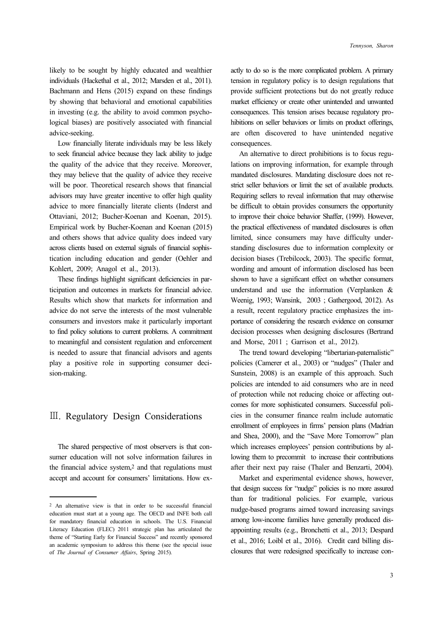likely to be sought by highly educated and wealthier individuals (Hackethal et al., 2012; Marsden et al., 2011). Bachmann and Hens (2015) expand on these findings by showing that behavioral and emotional capabilities in investing (e.g. the ability to avoid common psychological biases) are positively associated with financial advice-seeking.

Low financially literate individuals may be less likely to seek financial advice because they lack ability to judge the quality of the advice that they receive. Moreover, they may believe that the quality of advice they receive will be poor. Theoretical research shows that financial advisors may have greater incentive to offer high quality advice to more financially literate clients (Inderst and Ottaviani, 2012; Bucher-Koenan and Koenan, 2015). Empirical work by Bucher-Koenan and Koenan (2015) and others shows that advice quality does indeed vary across clients based on external signals of financial sophistication including education and gender (Oehler and Kohlert, 2009; Anagol et al., 2013).

These findings highlight significant deficiencies in participation and outcomes in markets for financial advice. Results which show that markets for information and advice do not serve the interests of the most vulnerable consumers and investors make it particularly important to find policy solutions to current problems. A commitment to meaningful and consistent regulation and enforcement is needed to assure that financial advisors and agents play a positive role in supporting consumer decision-making.

## Ⅲ. Regulatory Design Considerations

The shared perspective of most observers is that consumer education will not solve information failures in the financial advice system,<sup>2</sup> and that regulations must accept and account for consumers' limitations. How exactly to do so is the more complicated problem. A primary tension in regulatory policy is to design regulations that provide sufficient protections but do not greatly reduce market efficiency or create other unintended and unwanted consequences. This tension arises because regulatory prohibitions on seller behaviors or limits on product offerings, are often discovered to have unintended negative consequences.

An alternative to direct prohibitions is to focus regulations on improving information, for example through mandated disclosures. Mandating disclosure does not restrict seller behaviors or limit the set of available products. Requiring sellers to reveal information that may otherwise be difficult to obtain provides consumers the opportunity to improve their choice behavior Shaffer, (1999). However, the practical effectiveness of mandated disclosures is often limited, since consumers may have difficulty understanding disclosures due to information complexity or decision biases (Trebilcock, 2003). The specific format, wording and amount of information disclosed has been shown to have a significant effect on whether consumers understand and use the information (Verplanken & Weenig, 1993; Wansink, 2003 ; Gathergood, 2012). As a result, recent regulatory practice emphasizes the importance of considering the research evidence on consumer decision processes when designing disclosures (Bertrand and Morse, 2011 ; Garrison et al., 2012).

The trend toward developing "libertarian-paternalistic" policies (Camerer et al., 2003) or "nudges" (Thaler and Sunstein, 2008) is an example of this approach. Such policies are intended to aid consumers who are in need of protection while not reducing choice or affecting outcomes for more sophisticated consumers. Successful policies in the consumer finance realm include automatic enrollment of employees in firms' pension plans (Madrian and Shea, 2000), and the "Save More Tomorrow" plan which increases employees' pension contributions by allowing them to precommit to increase their contributions after their next pay raise (Thaler and Benzarti, 2004).

Market and experimental evidence shows, however, that design success for "nudge" policies is no more assured than for traditional policies. For example, various nudge-based programs aimed toward increasing savings among low-income families have generally produced disappointing results (e.g., Bronchetti et al., 2013; Despard et al., 2016; Loibl et al., 2016). Credit card billing disclosures that were redesigned specifically to increase con-

<sup>2</sup> An alternative view is that in order to be successful financial education must start at a young age. The OECD and INFE both call for mandatory financial education in schools. The U.S. Financial Literacy Education (FLEC) 2011 strategic plan has articulated the theme of "Starting Early for Financial Success" and recently sponsored an academic symposium to address this theme (see the special issue of *The Journal of Consumer Affairs*, Spring 2015).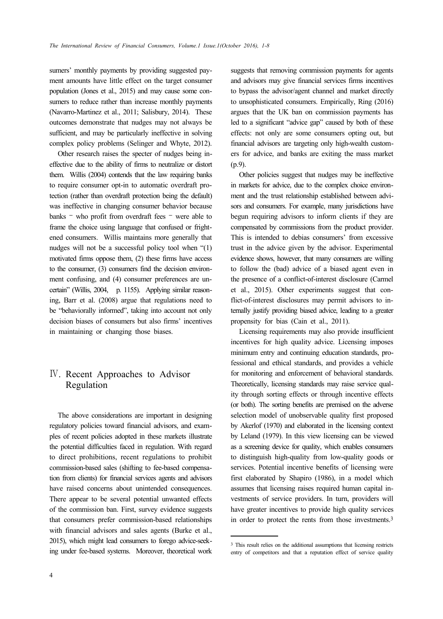sumers' monthly payments by providing suggested payment amounts have little effect on the target consumer population (Jones et al., 2015) and may cause some consumers to reduce rather than increase monthly payments (Navarro-Martinez et al., 2011; Salisbury, 2014). These outcomes demonstrate that nudges may not always be sufficient, and may be particularly ineffective in solving complex policy problems (Selinger and Whyte, 2012).

Other research raises the specter of nudges being ineffective due to the ability of firms to neutralize or distort them. Willis (2004) contends that the law requiring banks to require consumer opt-in to automatic overdraft protection (rather than overdraft protection being the default) was ineffective in changing consumer behavior because banks – who profit from overdraft fees – were able to frame the choice using language that confused or frightened consumers. Willis maintains more generally that nudges will not be a successful policy tool when "(1) motivated firms oppose them, (2) these firms have access to the consumer, (3) consumers find the decision environment confusing, and (4) consumer preferences are uncertain" (Willis, 2004, p. 1155). Applying similar reasoning, Barr et al. (2008) argue that regulations need to be "behaviorally informed", taking into account not only decision biases of consumers but also firms' incentives in maintaining or changing those biases.

## Ⅳ. Recent Approaches to Advisor Regulation

The above considerations are important in designing regulatory policies toward financial advisors, and examples of recent policies adopted in these markets illustrate the potential difficulties faced in regulation. With regard to direct prohibitions, recent regulations to prohibit commission-based sales (shifting to fee-based compensation from clients) for financial services agents and advisors have raised concerns about unintended consequences. There appear to be several potential unwanted effects of the commission ban. First, survey evidence suggests that consumers prefer commission-based relationships with financial advisors and sales agents (Burke et al., 2015), which might lead consumers to forego advice-seeking under fee-based systems. Moreover, theoretical work suggests that removing commission payments for agents and advisors may give financial services firms incentives to bypass the advisor/agent channel and market directly to unsophisticated consumers. Empirically, Ring (2016) argues that the UK ban on commission payments has led to a significant "advice gap" caused by both of these effects: not only are some consumers opting out, but financial advisors are targeting only high-wealth customers for advice, and banks are exiting the mass market (p.9).

Other policies suggest that nudges may be ineffective in markets for advice, due to the complex choice environment and the trust relationship established between advisors and consumers. For example, many jurisdictions have begun requiring advisors to inform clients if they are compensated by commissions from the product provider. This is intended to debias consumers' from excessive trust in the advice given by the advisor. Experimental evidence shows, however, that many consumers are willing to follow the (bad) advice of a biased agent even in the presence of a conflict-of-interest disclosure (Carmel et al., 2015). Other experiments suggest that conflict-of-interest disclosures may permit advisors to internally justify providing biased advice, leading to a greater propensity for bias (Cain et al., 2011).

Licensing requirements may also provide insufficient incentives for high quality advice. Licensing imposes minimum entry and continuing education standards, professional and ethical standards, and provides a vehicle for monitoring and enforcement of behavioral standards. Theoretically, licensing standards may raise service quality through sorting effects or through incentive effects (or both). The sorting benefits are premised on the adverse selection model of unobservable quality first proposed by Akerlof (1970) and elaborated in the licensing context by Leland (1979). In this view licensing can be viewed as a screening device for quality, which enables consumers to distinguish high-quality from low-quality goods or services. Potential incentive benefits of licensing were first elaborated by Shapiro (1986), in a model which assumes that licensing raises required human capital investments of service providers. In turn, providers will have greater incentives to provide high quality services in order to protect the rents from those investments.3

<sup>3</sup> This result relies on the additional assumptions that licensing restricts entry of competitors and that a reputation effect of service quality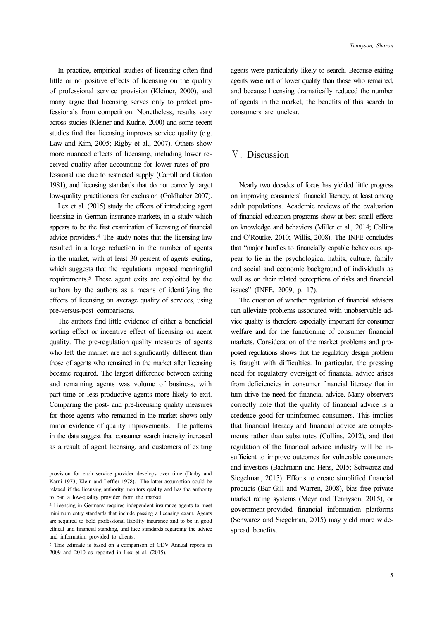In practice, empirical studies of licensing often find little or no positive effects of licensing on the quality of professional service provision (Kleiner, 2000), and many argue that licensing serves only to protect professionals from competition. Nonetheless, results vary across studies (Kleiner and Kudrle, 2000) and some recent studies find that licensing improves service quality (e.g. Law and Kim, 2005; Rigby et al., 2007). Others show more nuanced effects of licensing, including lower received quality after accounting for lower rates of professional use due to restricted supply (Carroll and Gaston 1981), and licensing standards that do not correctly target low-quality practitioners for exclusion (Goldhaber 2007).

Lex et al. (2015) study the effects of introducing agent licensing in German insurance markets, in a study which appears to be the first examination of licensing of financial advice providers.4 The study notes that the licensing law resulted in a large reduction in the number of agents in the market, with at least 30 percent of agents exiting, which suggests that the regulations imposed meaningful requirements.5 These agent exits are exploited by the authors by the authors as a means of identifying the effects of licensing on average quality of services, using pre-versus-post comparisons.

The authors find little evidence of either a beneficial sorting effect or incentive effect of licensing on agent quality. The pre-regulation quality measures of agents who left the market are not significantly different than those of agents who remained in the market after licensing became required. The largest difference between exiting and remaining agents was volume of business, with part-time or less productive agents more likely to exit. Comparing the post- and pre-licensing quality measures for those agents who remained in the market shows only minor evidence of quality improvements. The patterns in the data suggest that consumer search intensity increased as a result of agent licensing, and customers of exiting

agents were particularly likely to search. Because exiting agents were not of lower quality than those who remained, and because licensing dramatically reduced the number of agents in the market, the benefits of this search to consumers are unclear.

### Ⅴ. Discussion

Nearly two decades of focus has yielded little progress on improving consumers' financial literacy, at least among adult populations. Academic reviews of the evaluation of financial education programs show at best small effects on knowledge and behaviors (Miller et al., 2014; Collins and O'Rourke, 2010; Willis, 2008). The INFE concludes that "major hurdles to financially capable behaviours appear to lie in the psychological habits, culture, family and social and economic background of individuals as well as on their related perceptions of risks and financial issues" (INFE, 2009, p. 17).

The question of whether regulation of financial advisors can alleviate problems associated with unobservable advice quality is therefore especially important for consumer welfare and for the functioning of consumer financial markets. Consideration of the market problems and proposed regulations shows that the regulatory design problem is fraught with difficulties. In particular, the pressing need for regulatory oversight of financial advice arises from deficiencies in consumer financial literacy that in turn drive the need for financial advice. Many observers correctly note that the quality of financial advice is a credence good for uninformed consumers. This implies that financial literacy and financial advice are complements rather than substitutes (Collins, 2012), and that regulation of the financial advice industry will be insufficient to improve outcomes for vulnerable consumers and investors (Bachmann and Hens, 2015; Schwarcz and Siegelman, 2015). Efforts to create simplified financial products (Bar-Gill and Warren, 2008), bias-free private market rating systems (Meyr and Tennyson, 2015), or government-provided financial information platforms (Schwarcz and Siegelman, 2015) may yield more widespread benefits.

provision for each service provider develops over time (Darby and Karni 1973; Klein and Leffler 1978). The latter assumption could be relaxed if the licensing authority monitors quality and has the authority to ban a low-quality provider from the market.

<sup>4</sup> Licensing in Germany requires independent insurance agents to meet minimum entry standards that include passing a licensing exam. Agents are required to hold professional liability insurance and to be in good ethical and financial standing, and face standards regarding the advice and information provided to clients.

<sup>5</sup> This estimate is based on a comparison of GDV Annual reports in 2009 and 2010 as reported in Lex et al. (2015).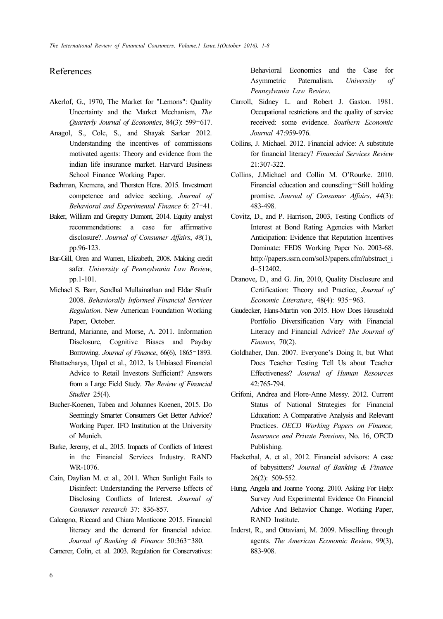### References

- Akerlof, G., 1970, The Market for "Lemons": Quality Uncertainty and the Market Mechanism, *The Quarterly Journal of Economics*, 84(3): 599–617.
- Anagol, S., Cole, S., and Shayak Sarkar 2012. Understanding the incentives of commissions motivated agents: Theory and evidence from the indian life insurance market. Harvard Business School Finance Working Paper.
- Bachman, Kremena, and Thorsten Hens. 2015. Investment competence and advice seeking, *Journal of Behavioral and Experimental Finance* 6: 27–41.
- Baker, William and Gregory Dumont, 2014. Equity analyst recommendations: a case for affirmative disclosure?. *Journal of Consumer Affairs*, *48*(1), pp.96-123.
- Bar-Gill, Oren and Warren, Elizabeth, 2008. Making credit safer. *University of Pennsylvania Law Review*, pp.1-101.
- Michael S. Barr, Sendhal Mullainathan and Eldar Shafir 2008. *Behaviorally Informed Financial Services Regulation*. New American Foundation Working Paper, October.
- Bertrand, Marianne, and Morse, A. 2011. Information Disclosure, Cognitive Biases and Payday Borrowing. *Journal of Finance*, 66(6), 1865–1893.
- Bhattacharya, Utpal et al., 2012. Is Unbiased Financial Advice to Retail Investors Sufficient? Answers from a Large Field Study. *The Review of Financial Studies* 25(4).
- Bucher-Koenen, Tabea and Johannes Koenen, 2015. Do Seemingly Smarter Consumers Get Better Advice? Working Paper. IFO Institution at the University of Munich.
- Burke, Jeremy, et al., 2015. Impacts of Conflicts of Interest in the Financial Services Industry. RAND WR-1076.
- Cain, Daylian M. et al., 2011. When Sunlight Fails to Disinfect: Understanding the Perverse Effects of Disclosing Conflicts of Interest. *Journal of Consumer research* 37: 836-857.
- Calcagno, Riccard and Chiara Monticone 2015. Financial literacy and the demand for financial advice. *Journal of Banking & Finance* 50:363–380.

Camerer, Colin, et. al. 2003. Regulation for Conservatives:

Behavioral Economics and the Case for Asymmetric Paternalism. *University of Pennsylvania Law Review*.

- Carroll, Sidney L. and Robert J. Gaston. 1981. Occupational restrictions and the quality of service received: some evidence. *Southern Economic Journal* 47:959-976.
- Collins, J. Michael. 2012. Financial advice: A substitute for financial literacy? *Financial Services Review*  21:307-322.
- Collins, J.Michael and Collin M. O'Rourke. 2010. Financial education and counseling—Still holding promise. *Journal of Consumer Affairs*, *44*(3): 483-498.
- Covitz, D., and P. Harrison, 2003, Testing Conflicts of Interest at Bond Rating Agencies with Market Anticipation: Evidence that Reputation Incentives Dominate: FEDS Working Paper No. 2003-68. http://papers.ssrn.com/sol3/papers.cfm?abstract\_i d=512402.
- Dranove, D., and G. Jin, 2010, Quality Disclosure and Certification: Theory and Practice, *Journal of Economic Literature*, 48(4): 935–963.
- Gaudecker, Hans-Martin von 2015. How Does Household Portfolio Diversification Vary with Financial Literacy and Financial Advice? *The Journal of Finance*, 70(2).
- Goldhaber, Dan. 2007. Everyone's Doing It, but What Does Teacher Testing Tell Us about Teacher Effectiveness? *Journal of Human Resources* 42:765-794.
- Grifoni, Andrea and Flore-Anne Messy. 2012. Current Status of National Strategies for Financial Education: A Comparative Analysis and Relevant Practices. *OECD Working Papers on Finance, Insurance and Private Pensions*, No. 16, OECD Publishing.
- Hackethal, A. et al., 2012. Financial advisors: A case of babysitters? *Journal of Banking & Finance* 26(2): 509-552.
- Hung, Angela and Joanne Yoong. 2010. Asking For Help: Survey And Experimental Evidence On Financial Advice And Behavior Change. Working Paper, RAND Institute.
- Inderst, R., and Ottaviani, M. 2009. Misselling through agents. *The American Economic Review*, 99(3), 883-908.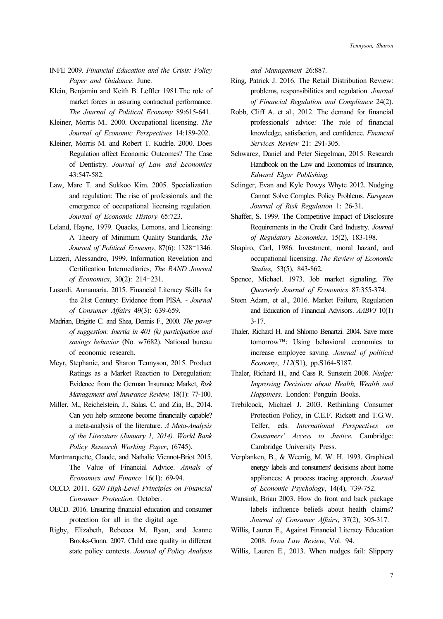- INFE 2009. *Financial Education and the Crisis: Policy Paper and Guidance*. June.
- Klein, Benjamin and Keith B. Leffler 1981.The role of market forces in assuring contractual performance. *The Journal of Political Economy* 89:615-641.
- Kleiner, Morris M.. 2000. Occupational licensing. *The Journal of Economic Perspectives* 14:189-202.
- Kleiner, Morris M. and Robert T. Kudrle. 2000. Does Regulation affect Economic Outcomes? The Case of Dentistry. *Journal of Law and Economics* 43:547-582.
- Law, Marc T. and Sukkoo Kim. 2005. Specialization and regulation: The rise of professionals and the emergence of occupational licensing regulation. *Journal of Economic History* 65:723.
- Leland, Hayne, 1979. Quacks, Lemons, and Licensing: A Theory of Minimum Quality Standards, *The Journal of Political Economy*, 87(6): 1328–1346.
- Lizzeri, Alessandro, 1999. Information Revelation and Certification Intermediaries, *The RAND Journal of Economics*, 30(2): 214–231.
- Lusardi, Annamaria, 2015. Financial Literacy Skills for the 21st Century: Evidence from PISA. - *Journal of Consumer Affairs* 49(3): 639-659.
- Madrian, Brigitte C. and Shea, Dennis F., 2000. *The power of suggestion: Inertia in 401 (k) participation and savings behavior* (No. w7682). National bureau of economic research.
- Meyr, Stephanie, and Sharon Tennyson, 2015. Product Ratings as a Market Reaction to Deregulation: Evidence from the German Insurance Market, *Risk Management and Insurance Review,* 18(1): 77-100.
- Miller, M., Reichelstein, J., Salas, C. and Zia, B., 2014. Can you help someone become financially capable? a meta-analysis of the literature. *A Meta-Analysis of the Literature (January 1, 2014). World Bank Policy Research Working Paper*, (6745).
- Montmarquette, Claude, and Nathalie Viennot-Briot 2015. The Value of Financial Advice. *Annals of Economics and Finance* 16(1): 69-94.
- OECD. 2011. *G20 High-Level Principles on Financial Consumer Protection*. October.
- OECD. 2016. Ensuring financial education and consumer protection for all in the digital age.
- Rigby, Elizabeth, Rebecca M. Ryan, and Jeanne Brooks-Gunn. 2007. Child care quality in different state policy contexts. *Journal of Policy Analysis*

*and Management* 26:887.

- Ring, Patrick J. 2016. The Retail Distribution Review: problems, responsibilities and regulation. *Journal of Financial Regulation and Compliance* 24(2).
- Robb, Cliff A. et al., 2012. The demand for financial professionals' advice: The role of financial knowledge, satisfaction, and confidence. *Financial Services Review* 21: 291-305.
- Schwarcz, Daniel and Peter Siegelman, 2015. Research Handbook on the Law and Economics of Insurance, *Edward Elgar Publishing.*
- Selinger, Evan and Kyle Powys Whyte 2012. Nudging Cannot Solve Complex Policy Problems. *European Journal of Risk Regulation* 1: 26-31.
- Shaffer, S. 1999. The Competitive Impact of Disclosure Requirements in the Credit Card Industry. *Journal of Regulatory Economics*, 15(2), 183-198.
- Shapiro, Carl, 1986. Investment, moral hazard, and occupational licensing. *The Review of Economic Studies,* 53(5), 843-862.
- Spence, Michael. 1973. Job market signaling. *The Quarterly Journal of Economics* 87:355-374.
- Steen Adam, et al., 2016. Market Failure, Regulation and Education of Financial Advisors. *AABVJ* 10(1) 3-17.
- Thaler, Richard H. and Shlomo Benartzi. 2004. Save more tomorrow™: Using behavioral economics to increase employee saving. *Journal of political Economy*, *112*(S1), pp.S164-S187.
- Thaler, Richard H., and Cass R. Sunstein 2008. *Nudge: Improving Decisions about Health, Wealth and Happiness*. London: Penguin Books.
- Trebilcock, Michael J. 2003. Rethinking Consumer Protection Policy, in C.E.F. Rickett and T.G.W. Telfer, eds. *International Perspectives on Consumers' Access to Justice*. Cambridge: Cambridge University Press.
- Verplanken, B., & Weenig, M. W. H. 1993. Graphical energy labels and consumers' decisions about home appliances: A process tracing approach. *Journal of Economic Psychology*, 14(4), 739-752.
- Wansink, Brian 2003. How do front and back package labels influence beliefs about health claims? *Journal of Consumer Affairs*, 37(2), 305-317.
- Willis, Lauren E., Against Financial Literacy Education 2008*. Iowa Law Review*, Vol. 94.
- Willis, Lauren E., 2013. When nudges fail: Slippery